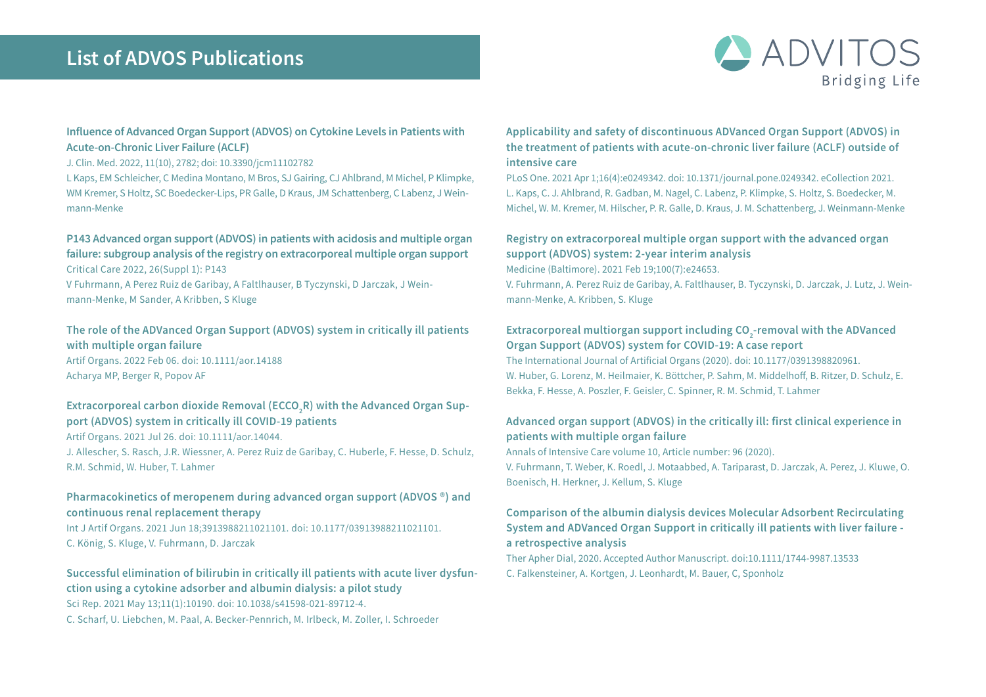# **List of ADVOS Publications**



# **Influence of Advanced Organ Support (ADVOS) on Cytokine Levels in Patients with Acute-on-Chronic Liver Failure (ACLF)**

#### J. Clin. Med. 2022, 11(10), 2782; doi: 10.3390/jcm11102782

L Kaps, EM Schleicher, C Medina Montano, M Bros, SJ Gairing, CJ Ahlbrand, M Michel, P Klimpke, WM Kremer, S Holtz, SC Boedecker-Lips, PR Galle, D Kraus, JM Schattenberg, C Labenz, J Weinmann-Menke

## **P143 Advanced organ support (ADVOS) in patients with acidosis and multiple organ failure: subgroup analysis of the registry on extracorporeal multiple organ support** Critical Care 2022, 26(Suppl 1): P143

V Fuhrmann, A Perez Ruiz de Garibay, A Faltlhauser, B Tyczynski, D Jarczak, J Wein-

mann-Menke, M Sander, A Kribben, S Kluge

# **The role of the ADVanced Organ Support (ADVOS) system in critically ill patients with multiple organ failure**  Artif Organs. 2022 Feb 06. doi: 10.1111/aor.14188

Acharya MP, Berger R, Popov AF

#### Extracorporeal carbon dioxide Removal (ECCO<sub>2</sub>R) with the Advanced Organ Sup**port (ADVOS) system in critically ill COVID-19 patients**

Artif Organs. 2021 Jul 26. doi: 10.1111/aor.14044. J. Allescher, S. Rasch, J.R. Wiessner, A. Perez Ruiz de Garibay, C. Huberle, F. Hesse, D. Schulz, R.M. Schmid, W. Huber, T. Lahmer

# **Pharmacokinetics of meropenem during advanced organ support (ADVOS ®) and continuous renal replacement therapy**

Int J Artif Organs. 2021 Jun 18;3913988211021101. doi: 10.1177/03913988211021101. C. König, S. Kluge, V. Fuhrmann, D. Jarczak

# **Successful elimination of bilirubin in critically ill patients with acute liver dysfunction using a cytokine adsorber and albumin dialysis: a pilot study**

Sci Rep. 2021 May 13;11(1):10190. doi: 10.1038/s41598-021-89712-4. C. Scharf, U. Liebchen, M. Paal, A. Becker-Pennrich, M. Irlbeck, M. Zoller, I. Schroeder

# **Applicability and safety of discontinuous ADVanced Organ Support (ADVOS) in the treatment of patients with acute-on-chronic liver failure (ACLF) outside of intensive care**

PLoS One. 2021 Apr 1;16(4):e0249342. doi: 10.1371/journal.pone.0249342. eCollection 2021. L. Kaps, C. J. Ahlbrand, R. Gadban, M. Nagel, C. Labenz, P. Klimpke, S. Holtz, S. Boedecker, M. Michel, W. M. Kremer, M. Hilscher, P. R. Galle, D. Kraus, J. M. Schattenberg, J. Weinmann-Menke

# **Registry on extracorporeal multiple organ support with the advanced organ support (ADVOS) system: 2-year interim analysis**

Medicine (Baltimore). 2021 Feb 19;100(7):e24653. V. Fuhrmann, A. Perez Ruiz de Garibay, A. Faltlhauser, B. Tyczynski, D. Jarczak, J. Lutz, J. Weinmann-Menke, A. Kribben, S. Kluge

## Extracorporeal multiorgan support including CO<sub>2</sub>-removal with the ADVanced **Organ Support (ADVOS) system for COVID-19: A case report**

The International Journal of Artificial Organs (2020). doi: 10.1177/0391398820961. W. Huber, G. Lorenz, M. Heilmaier, K. Böttcher, P. Sahm, M. Middelhoff, B. Ritzer, D. Schulz, E. Bekka, F. Hesse, A. Poszler, F. Geisler, C. Spinner, R. M. Schmid, T. Lahmer

# **Advanced organ support (ADVOS) in the critically ill: first clinical experience in patients with multiple organ failure**

Annals of Intensive Care volume 10, Article number: 96 (2020). V. Fuhrmann, T. Weber, K. Roedl, J. Motaabbed, A. Tariparast, D. Jarczak, A. Perez, J. Kluwe, O. Boenisch, H. Herkner, J. Kellum, S. Kluge

# **Comparison of the albumin dialysis devices Molecular Adsorbent Recirculating System and ADVanced Organ Support in critically ill patients with liver failure a retrospective analysis**

Ther Apher Dial, 2020. Accepted Author Manuscript. doi:10.1111/1744-9987.13533 C. Falkensteiner, A. Kortgen, J. Leonhardt, M. Bauer, C, Sponholz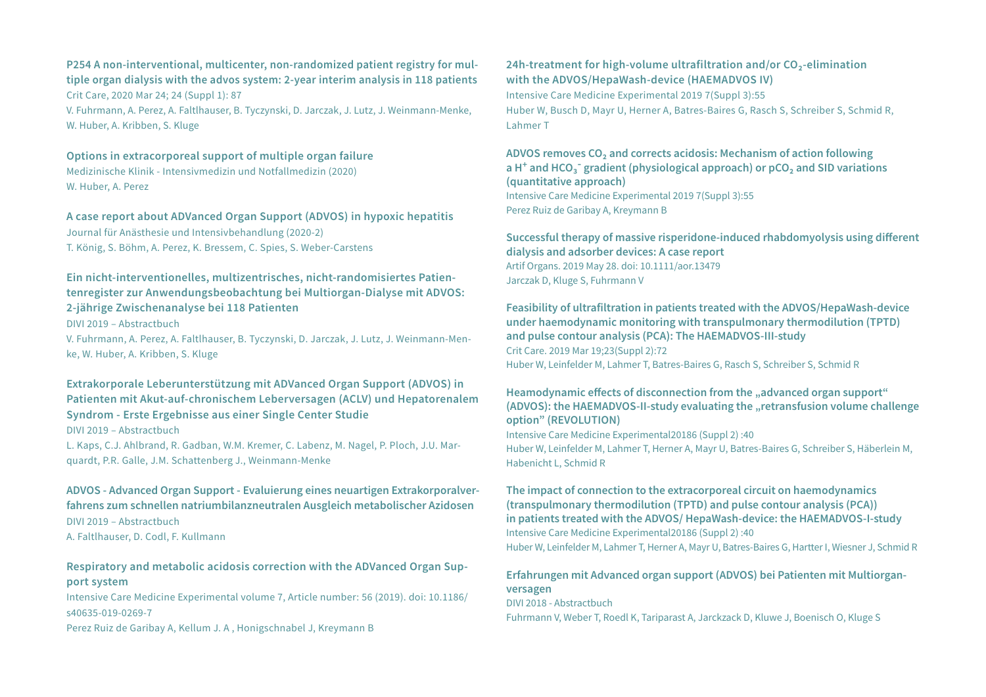#### **P254 A non-interventional, multicenter, non-randomized patient registry for multiple organ dialysis with the advos system: 2-year interim analysis in 118 patients**  Crit Care, 2020 Mar 24; 24 (Suppl 1): 87

V. Fuhrmann, A. Perez, A. Faltlhauser, B. Tyczynski, D. Jarczak, J. Lutz, J. Weinmann-Menke, W. Huber, A. Kribben, S. Kluge

## **Options in extracorporeal support of multiple organ failure**

Medizinische Klinik - Intensivmedizin und Notfallmedizin (2020) W. Huber, A. Perez

#### **A case report about ADVanced Organ Support (ADVOS) in hypoxic hepatitis**

Journal für Anästhesie und Intensivbehandlung (2020-2) T. König, S. Böhm, A. Perez, K. Bressem, C. Spies, S. Weber-Carstens

# **Ein nicht-interventionelles, multizentrisches, nicht-randomisiertes Patientenregister zur Anwendungsbeobachtung bei Multiorgan-Dialyse mit ADVOS: 2-jährige Zwischenanalyse bei 118 Patienten**

DIVI 2019 – Abstractbuch

V. Fuhrmann, A. Perez, A. Faltlhauser, B. Tyczynski, D. Jarczak, J. Lutz, J. Weinmann-Menke, W. Huber, A. Kribben, S. Kluge

# **Extrakorporale Leberunterstützung mit ADVanced Organ Support (ADVOS) in Patienten mit Akut-auf-chronischem Leberversagen (ACLV) und Hepatorenalem Syndrom - Erste Ergebnisse aus einer Single Center Studie**

DIVI 2019 – Abstractbuch

L. Kaps, C.J. Ahlbrand, R. Gadban, W.M. Kremer, C. Labenz, M. Nagel, P. Ploch, J.U. Marquardt, P.R. Galle, J.M. Schattenberg J., Weinmann-Menke

#### **ADVOS - Advanced Organ Support - Evaluierung eines neuartigen Extrakorporalverfahrens zum schnellen natriumbilanzneutralen Ausgleich metabolischer Azidosen**

DIVI 2019 – Abstractbuch

A. Faltlhauser, D. Codl, F. Kullmann

# **Respiratory and metabolic acidosis correction with the ADVanced Organ Support system**

Intensive Care Medicine Experimental volume 7, Article number: 56 (2019). doi: 10.1186/ s40635-019-0269-7

Perez Ruiz de Garibay A, Kellum J. A , Honigschnabel J, Kreymann B

## **24h-treatment for high-volume ultrafiltration and/or CO₂-elimination with the ADVOS/HepaWash-device (HAEMADVOS IV)**

Intensive Care Medicine Experimental 2019 7(Suppl 3):55 Huber W, Busch D, Mayr U, Herner A, Batres-Baires G, Rasch S, Schreiber S, Schmid R, Lahmer T

#### **ADVOS removes CO₂ and corrects acidosis: Mechanism of action following a H+ and HCO₃- gradient (physiological approach) or pCO₂ and SID variations (quantitative approach)**  Intensive Care Medicine Experimental 2019 7(Suppl 3):55 Perez Ruiz de Garibay A, Kreymann B

#### **Successful therapy of massive risperidone-induced rhabdomyolysis using different dialysis and adsorber devices: A case report**  Artif Organs. 2019 May 28. doi: 10.1111/aor.13479 Jarczak D, Kluge S, Fuhrmann V

#### **Feasibility of ultrafiltration in patients treated with the ADVOS/HepaWash-device under haemodynamic monitoring with transpulmonary thermodilution (TPTD) and pulse contour analysis (PCA): The HAEMADVOS-III-study**  Crit Care. 2019 Mar 19;23(Suppl 2):72 Huber W, Leinfelder M, Lahmer T, Batres-Baires G, Rasch S, Schreiber S, Schmid R

#### Heamodynamic effects of disconnection from the "advanced organ support" (ADVOS): the HAEMADVOS-II-study evaluating the "retransfusion volume challenge **option" (REVOLUTION)**

Intensive Care Medicine Experimental20186 (Suppl 2) :40 Huber W, Leinfelder M, Lahmer T, Herner A, Mayr U, Batres-Baires G, Schreiber S, Häberlein M, Habenicht L, Schmid R

#### **The impact of connection to the extracorporeal circuit on haemodynamics (transpulmonary thermodilution (TPTD) and pulse contour analysis (PCA)) in patients treated with the ADVOS/ HepaWash-device: the HAEMADVOS-I-study** Intensive Care Medicine Experimental20186 (Suppl 2) :40 Huber W, Leinfelder M, Lahmer T, Herner A, Mayr U, Batres-Baires G, Hartter I, Wiesner J, Schmid R

# **Erfahrungen mit Advanced organ support (ADVOS) bei Patienten mit Multiorganversagen**

DIVI 2018 - Abstractbuch Fuhrmann V, Weber T, Roedl K, Tariparast A, Jarckzack D, Kluwe J, Boenisch O, Kluge S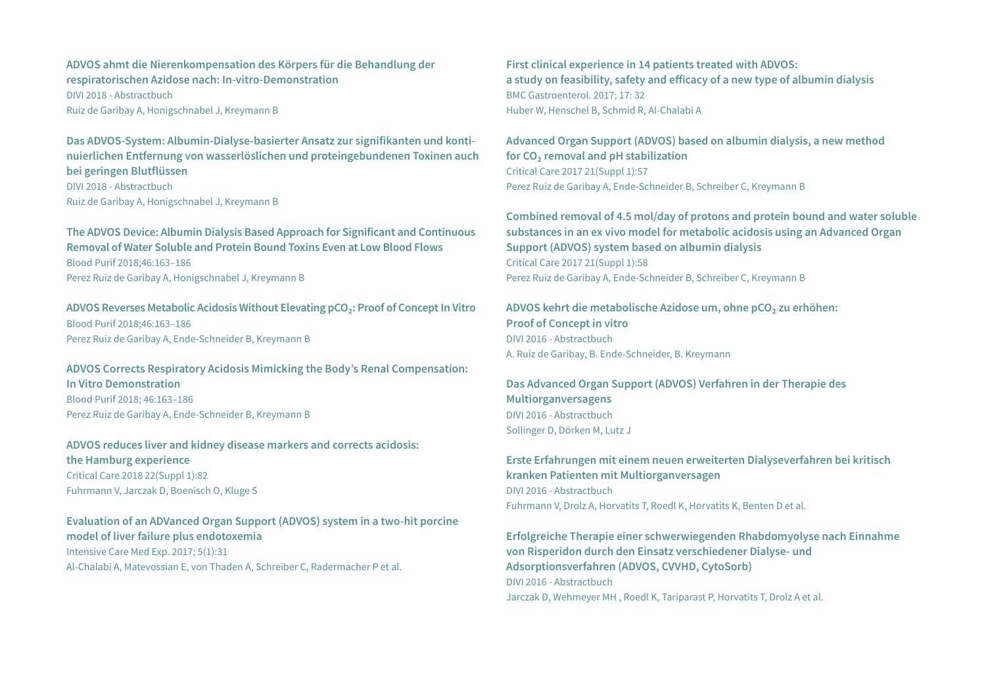## **ADVOS ahmt die Nierenkompensation des Körpers für die Behandlung der respiratorischen Azidose nach: In-vitro-Demonstration**  DIVI 2018 - Abstractbuch Ruiz de Garibay A, Honigschnabel J, Kreymann B

**Das ADVOS-System: Albumin-Dialyse-basierter Ansatz zur signifikanten und kontinuierlichen Entfernung von wasserlöslichen und proteingebundenen Toxinen auch bei geringen Blutflüssen** 

DIVI 2018 - Abstractbuch Ruiz de Garibay A, Honigschnabel J, Kreymann B

**The ADVOS Device: Albumin Dialysis Based Approach for Significant and Continuous Removal of Water Soluble and Protein Bound Toxins Even at Low Blood Flows** Blood Purif 2018;46:163–186 Perez Ruiz de Garibay A, Honigschnabel J, Kreymann B

**ADVOS Reverses Metabolic Acidosis Without Elevating pCO₂: Proof of Concept In Vitro** Blood Purif 2018;46:163–186 Perez Ruiz de Garibay A, Ende-Schneider B, Kreymann B

**ADVOS Corrects Respiratory Acidosis Mimicking the Body's Renal Compensation: In Vitro Demonstration** Blood Purif 2018; 46:163–186 Perez Ruiz de Garibay A, Ende-Schneider B, Kreymann B

#### **ADVOS reduces liver and kidney disease markers and corrects acidosis: the Hamburg experience** Critical Care 2018 22(Suppl 1):82

Fuhrmann V, Jarczak D, Boenisch O, Kluge S

# **Evaluation of an ADVanced Organ Support (ADVOS) system in a two-hit porcine model of liver failure plus endotoxemia**  Intensive Care Med Exp. 2017; 5(1):31 Al-Chalabi A, Matevossian E, von Thaden A, Schreiber C, Radermacher P et al.

**First clinical experience in 14 patients treated with ADVOS: a study on feasibility, safety and efficacy of a new type of albumin dialysis**  BMC Gastroenterol. 2017; 17: 32 Huber W, Henschel B, Schmid R, Al-Chalabi A

**Advanced Organ Support (ADVOS) based on albumin dialysis, a new method for CO₂ removal and pH stabilization** Critical Care 2017 21(Suppl 1):57 Perez Ruiz de Garibay A, Ende-Schneider B, Schreiber C, Kreymann B

**Combined removal of 4.5 mol/day of protons and protein bound and water soluble substances in an ex vivo model for metabolic acidosis using an Advanced Organ Support (ADVOS) system based on albumin dialysis** Critical Care 2017 21(Suppl 1):58 Perez Ruiz de Garibay A, Ende-Schneider B, Schreiber C, Kreymann B

**ADVOS kehrt die metabolische Azidose um, ohne pCO₂ zu erhöhen: Proof of Concept in vitro** DIVI 2016 - Abstractbuch A. Ruiz de Garibay, B. Ende-Schneider, B. Kreymann

**Das Advanced Organ Support (ADVOS) Verfahren in der Therapie des Multiorganversagens**  DIVI 2016 - Abstractbuch Sollinger D, Dörken M, Lutz J

**Erste Erfahrungen mit einem neuen erweiterten Dialyseverfahren bei kritisch kranken Patienten mit Multiorganversagen**  DIVI 2016 - Abstractbuch Fuhrmann V, Drolz A, Horvatits T, Roedl K, Horvatits K, Benten D et al.

**Erfolgreiche Therapie einer schwerwiegenden Rhabdomyolyse nach Einnahme von Risperidon durch den Einsatz verschiedener Dialyse- und Adsorptionsverfahren (ADVOS, CVVHD, CytoSorb)** DIVI 2016 - Abstractbuch Jarczak D, Wehmeyer MH , Roedl K, Tariparast P, Horvatits T, Drolz A et al.